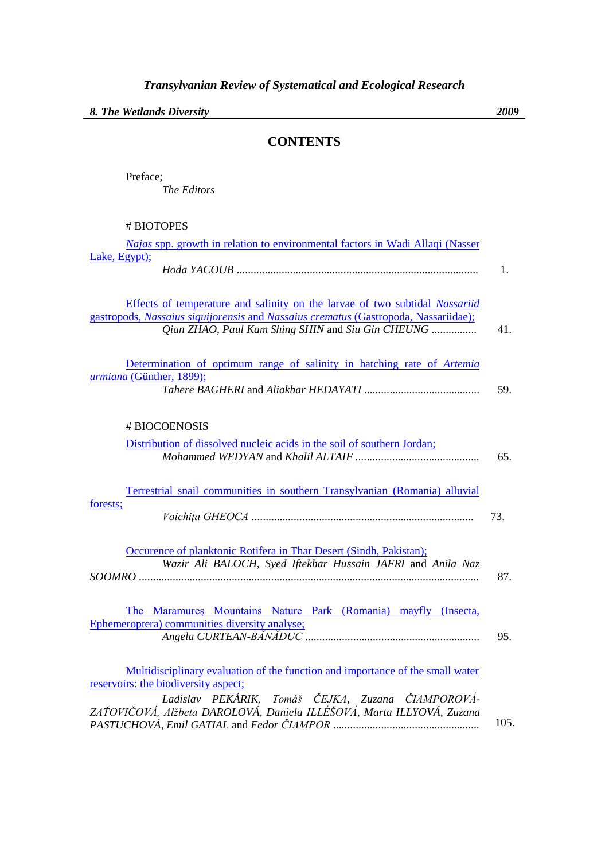## **CONTENTS**

Preface; *The Editors*

| # BIOTOPES |  |
|------------|--|
|------------|--|

| <i>Najas</i> spp. growth in relation to environmental factors in Wadi Allaqi (Nasser                                                                                                                                    |      |
|-------------------------------------------------------------------------------------------------------------------------------------------------------------------------------------------------------------------------|------|
| Lake, Egypt);                                                                                                                                                                                                           | 1.   |
| Effects of temperature and salinity on the larvae of two subtidal Nassariid<br>gastropods, Nassaius siquijorensis and Nassaius crematus (Gastropoda, Nassariidae);<br>Qian ZHAO, Paul Kam Shing SHIN and Siu Gin CHEUNG | 41.  |
| Determination of optimum range of salinity in hatching rate of Artemia<br>urmiana (Günther, 1899);                                                                                                                      | 59.  |
| # BIOCOENOSIS                                                                                                                                                                                                           |      |
| Distribution of dissolved nucleic acids in the soil of southern Jordan;                                                                                                                                                 | 65.  |
| Terrestrial snail communities in southern Transylvanian (Romania) alluvial<br>forests;                                                                                                                                  |      |
|                                                                                                                                                                                                                         | 73.  |
| Occurence of planktonic Rotifera in Thar Desert (Sindh, Pakistan);<br>Wazir Ali BALOCH, Syed Iftekhar Hussain JAFRI and Anila Naz                                                                                       | 87.  |
| The Maramures Mountains Nature Park (Romania) mayfly (Insecta,<br>Ephemeroptera) communities diversity analyse;                                                                                                         | 95.  |
| Multidisciplinary evaluation of the function and importance of the small water<br>reservoirs: the biodiversity aspect;                                                                                                  |      |
| Ladislav PEKÁRIK, Tomáš ČEJKA, Zuzana ČIAMPOROVÁ-<br>ZAŤOVIČOVÁ, Alžbeta DAROLOVÁ, Daniela ILLÉŠOVÁ, Marta ILLYOVÁ, Zuzana                                                                                              |      |
|                                                                                                                                                                                                                         | 105. |